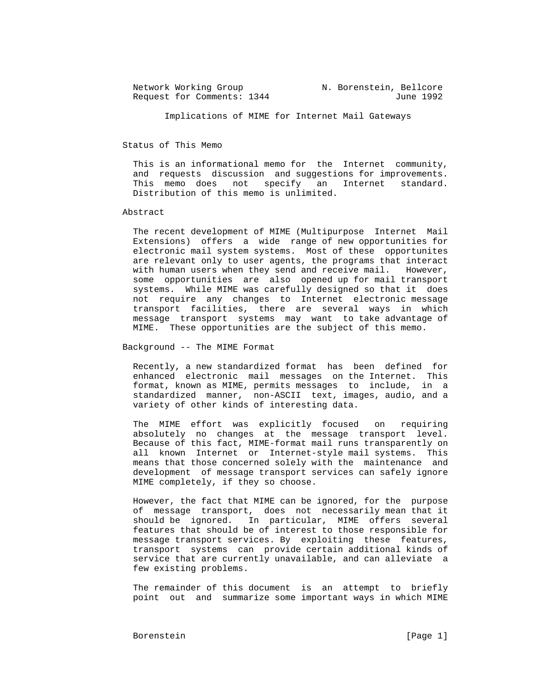Network Working Group N. Borenstein, Bellcore Request for Comments: 1344 June 1992

Implications of MIME for Internet Mail Gateways

Status of This Memo

 This is an informational memo for the Internet community, and requests discussion and suggestions for improvements. This memo does not specify an Internet standard. Distribution of this memo is unlimited.

## Abstract

 The recent development of MIME (Multipurpose Internet Mail Extensions) offers a wide range of new opportunities for electronic mail system systems. Most of these opportunites are relevant only to user agents, the programs that interact with human users when they send and receive mail. However, some opportunities are also opened up for mail transport systems. While MIME was carefully designed so that it does not require any changes to Internet electronic message transport facilities, there are several ways in which message transport systems may want to take advantage of MIME. These opportunities are the subject of this memo.

Background -- The MIME Format

 Recently, a new standardized format has been defined for enhanced electronic mail messages on the Internet. This format, known as MIME, permits messages to include, in a standardized manner, non-ASCII text, images, audio, and a variety of other kinds of interesting data.

 The MIME effort was explicitly focused on requiring absolutely no changes at the message transport level. Because of this fact, MIME-format mail runs transparently on all known Internet or Internet-style mail systems. This means that those concerned solely with the maintenance and development of message transport services can safely ignore MIME completely, if they so choose.

 However, the fact that MIME can be ignored, for the purpose of message transport, does not necessarily mean that it should be ignored. In particular, MIME offers several features that should be of interest to those responsible for message transport services. By exploiting these features, transport systems can provide certain additional kinds of service that are currently unavailable, and can alleviate a few existing problems.

 The remainder of this document is an attempt to briefly point out and summarize some important ways in which MIME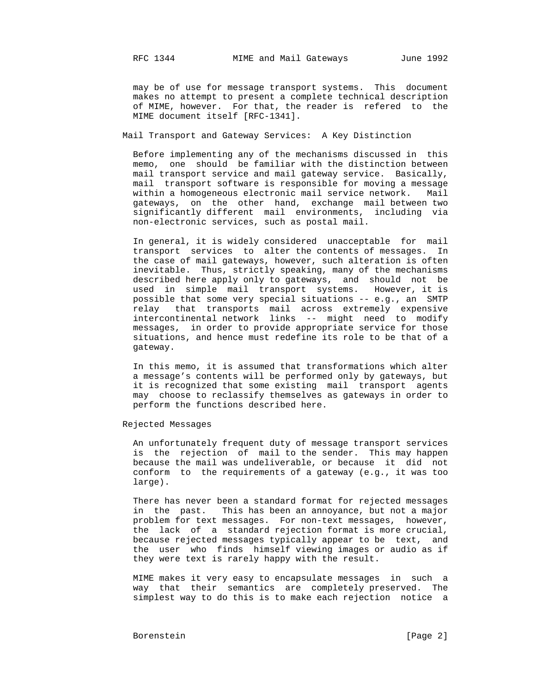may be of use for message transport systems. This document makes no attempt to present a complete technical description of MIME, however. For that, the reader is refered to the MIME document itself [RFC-1341].

#### Mail Transport and Gateway Services: A Key Distinction

 Before implementing any of the mechanisms discussed in this memo, one should be familiar with the distinction between mail transport service and mail gateway service. Basically, mail transport software is responsible for moving a message within a homogeneous electronic mail service network. Mail gateways, on the other hand, exchange mail between two significantly different mail environments, including via non-electronic services, such as postal mail.

 In general, it is widely considered unacceptable for mail transport services to alter the contents of messages. In the case of mail gateways, however, such alteration is often inevitable. Thus, strictly speaking, many of the mechanisms described here apply only to gateways, and should not be used in simple mail transport systems. However, it is possible that some very special situations -- e.g., an SMTP relay that transports mail across extremely expensive intercontinental network links -- might need to modify messages, in order to provide appropriate service for those situations, and hence must redefine its role to be that of a gateway.

> In this memo, it is assumed that transformations which alter a message's contents will be performed only by gateways, but it is recognized that some existing mail transport agents may choose to reclassify themselves as gateways in order to perform the functions described here.

Rejected Messages

 An unfortunately frequent duty of message transport services is the rejection of mail to the sender. This may happen because the mail was undeliverable, or because it did not conform to the requirements of a gateway (e.g., it was too large).

 There has never been a standard format for rejected messages in the past. This has been an annoyance, but not a major problem for text messages. For non-text messages, however, the lack of a standard rejection format is more crucial, because rejected messages typically appear to be text, and the user who finds himself viewing images or audio as if they were text is rarely happy with the result.

 MIME makes it very easy to encapsulate messages in such a way that their semantics are completely preserved. The simplest way to do this is to make each rejection notice a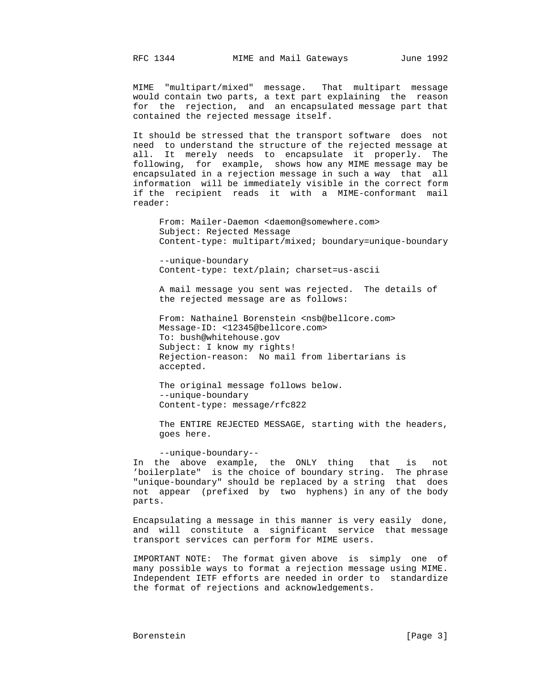MIME "multipart/mixed" message. That multipart message would contain two parts, a text part explaining the reason for the rejection, and an encapsulated message part that contained the rejected message itself.

 It should be stressed that the transport software does not need to understand the structure of the rejected message at all. It merely needs to encapsulate it properly. The following, for example, shows how any MIME message may be encapsulated in a rejection message in such a way that all information will be immediately visible in the correct form if the recipient reads it with a MIME-conformant mail reader:

```
 From: Mailer-Daemon <daemon@somewhere.com>
Subject: Rejected Message
Content-type: multipart/mixed; boundary=unique-boundary
```
 --unique-boundary Content-type: text/plain; charset=us-ascii

 A mail message you sent was rejected. The details of the rejected message are as follows:

From: Nathainel Borenstein <nsb@bellcore.com> Message-ID: <12345@bellcore.com> To: bush@whitehouse.gov Subject: I know my rights! Rejection-reason: No mail from libertarians is accepted.

 The original message follows below. --unique-boundary Content-type: message/rfc822

 The ENTIRE REJECTED MESSAGE, starting with the headers, goes here.

 --unique-boundary-- In the above example, the ONLY thing that is not 'boilerplate" is the choice of boundary string. The phrase "unique-boundary" should be replaced by a string that does not appear (prefixed by two hyphens) in any of the body parts.

 Encapsulating a message in this manner is very easily done, and will constitute a significant service that message transport services can perform for MIME users.

 IMPORTANT NOTE: The format given above is simply one of many possible ways to format a rejection message using MIME. Independent IETF efforts are needed in order to standardize the format of rejections and acknowledgements.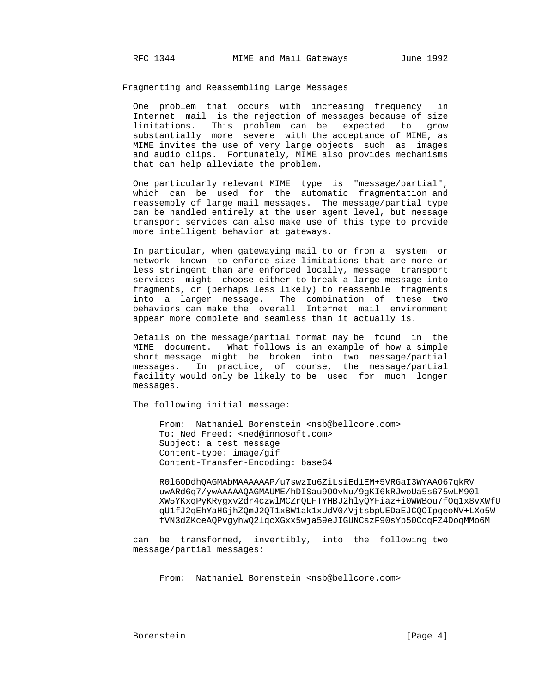## Fragmenting and Reassembling Large Messages

 One problem that occurs with increasing frequency in Internet mail is the rejection of messages because of size limitations. This problem can be expected to grow substantially more severe with the acceptance of MIME, as MIME invites the use of very large objects such as images and audio clips. Fortunately, MIME also provides mechanisms that can help alleviate the problem.

 One particularly relevant MIME type is "message/partial", which can be used for the automatic fragmentation and reassembly of large mail messages. The message/partial type can be handled entirely at the user agent level, but message transport services can also make use of this type to provide more intelligent behavior at gateways.

 In particular, when gatewaying mail to or from a system or network known to enforce size limitations that are more or less stringent than are enforced locally, message transport services might choose either to break a large message into fragments, or (perhaps less likely) to reassemble fragments into a larger message. The combination of these two behaviors can make the overall Internet mail environment appear more complete and seamless than it actually is.

 Details on the message/partial format may be found in the MIME document. What follows is an example of how a simple short message might be broken into two message/partial messages. In practice, of course, the message/partial facility would only be likely to be used for much longer messages.

The following initial message:

From: Nathaniel Borenstein <nsb@bellcore.com> To: Ned Freed: <ned@innosoft.com> Subject: a test message Content-type: image/gif Content-Transfer-Encoding: base64

 R0lGODdhQAGMAbMAAAAAAP/u7swzIu6ZiLsiEd1EM+5VRGaI3WYAAO67qkRV uwARd6q7/ywAAAAAQAGMAUME/hDISau9OOvNu/9gKI6kRJwoUa5s675wLM90l XW5YKxqPyKRygxv2dr4czwlMCZrQLFTYHBJ2hlyQYFiaz+i0WWBou7fOq1x8vXWfU qU1fJ2qEhYaHGjhZQmJ2QT1xBW1ak1xUdV0/VjtsbpUEDaEJCQOIpqeoNV+LXo5W fVN3dZKceAQPvgyhwQ2lqcXGxx5wja59eJIGUNCszF90sYp50CoqFZ4DoqMMo6M

 can be transformed, invertibly, into the following two message/partial messages:

From: Nathaniel Borenstein <nsb@bellcore.com>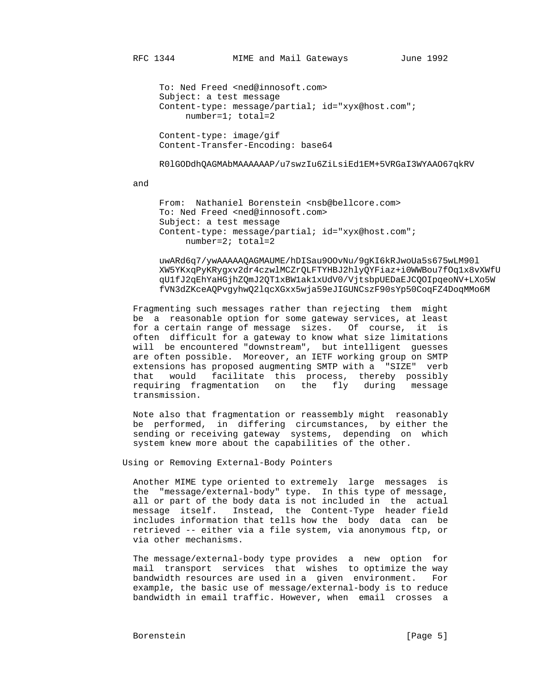To: Ned Freed <ned@innosoft.com> Subject: a test message Content-type: message/partial; id="xyx@host.com"; number=1; total=2 Content-type: image/gif

Content-Transfer-Encoding: base64

R0lGODdhQAGMAbMAAAAAAP/u7swzIu6ZiLsiEd1EM+5VRGaI3WYAAO67qkRV

and

From: Nathaniel Borenstein <nsb@bellcore.com> To: Ned Freed <ned@innosoft.com> Subject: a test message Content-type: message/partial; id="xyx@host.com"; number=2; total=2

 uwARd6q7/ywAAAAAQAGMAUME/hDISau9OOvNu/9gKI6kRJwoUa5s675wLM90l XW5YKxqPyKRygxv2dr4czwlMCZrQLFTYHBJ2hlyQYFiaz+i0WWBou7fOq1x8vXWfU qU1fJ2qEhYaHGjhZQmJ2QT1xBW1ak1xUdV0/VjtsbpUEDaEJCQOIpqeoNV+LXo5W fVN3dZKceAQPvgyhwQ2lqcXGxx5wja59eJIGUNCszF90sYp50CoqFZ4DoqMMo6M

 Fragmenting such messages rather than rejecting them might be a reasonable option for some gateway services, at least for a certain range of message sizes. Of course, it is often difficult for a gateway to know what size limitations will be encountered "downstream", but intelligent guesses are often possible. Moreover, an IETF working group on SMTP extensions has proposed augmenting SMTP with a "SIZE" verb that would facilitate this process, thereby possibly requiring fragmentation on the fly during message transmission.

 Note also that fragmentation or reassembly might reasonably be performed, in differing circumstances, by either the sending or receiving gateway systems, depending on which system knew more about the capabilities of the other.

Using or Removing External-Body Pointers

 Another MIME type oriented to extremely large messages is the "message/external-body" type. In this type of message, all or part of the body data is not included in the actual message itself. Instead, the Content-Type header field includes information that tells how the body data can be retrieved -- either via a file system, via anonymous ftp, or via other mechanisms.

 The message/external-body type provides a new option for mail transport services that wishes to optimize the way bandwidth resources are used in a given environment. For example, the basic use of message/external-body is to reduce bandwidth in email traffic. However, when email crosses a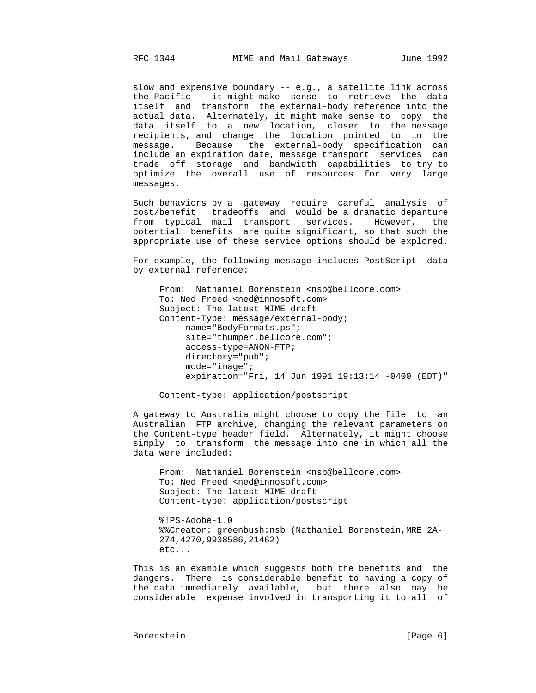slow and expensive boundary -- e.g., a satellite link across the Pacific -- it might make sense to retrieve the data itself and transform the external-body reference into the actual data. Alternately, it might make sense to copy the data itself to a new location, closer to the message recipients, and change the location pointed to in the message. Because the external-body specification can include an expiration date, message transport services can trade off storage and bandwidth capabilities to try to optimize the overall use of resources for very large messages.

 Such behaviors by a gateway require careful analysis of cost/benefit tradeoffs and would be a dramatic departure from typical mail transport services. However, the potential benefits are quite significant, so that such the appropriate use of these service options should be explored.

> For example, the following message includes PostScript data by external reference:

From: Nathaniel Borenstein <nsb@bellcore.com> To: Ned Freed <ned@innosoft.com> Subject: The latest MIME draft Content-Type: message/external-body; name="BodyFormats.ps"; site="thumper.bellcore.com"; access-type=ANON-FTP; directory="pub"; mode="image"; expiration="Fri, 14 Jun 1991 19:13:14 -0400 (EDT)"

Content-type: application/postscript

 A gateway to Australia might choose to copy the file to an Australian FTP archive, changing the relevant parameters on the Content-type header field. Alternately, it might choose simply to transform the message into one in which all the data were included:

From: Nathaniel Borenstein <nsb@bellcore.com> To: Ned Freed <ned@innosoft.com> Subject: The latest MIME draft Content-type: application/postscript

 %!PS-Adobe-1.0 %%Creator: greenbush:nsb (Nathaniel Borenstein,MRE 2A- 274,4270,9938586,21462) etc...

 This is an example which suggests both the benefits and the dangers. There is considerable benefit to having a copy of the data immediately available, but there also may be considerable expense involved in transporting it to all of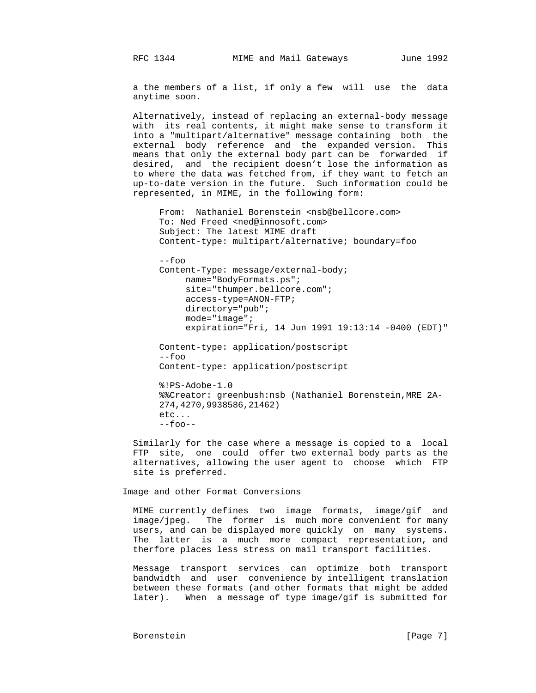a the members of a list, if only a few will use the data anytime soon.

 Alternatively, instead of replacing an external-body message with its real contents, it might make sense to transform it into a "multipart/alternative" message containing both the external body reference and the expanded version. This means that only the external body part can be forwarded if desired, and the recipient doesn't lose the information as to where the data was fetched from, if they want to fetch an up-to-date version in the future. Such information could be represented, in MIME, in the following form:

From: Nathaniel Borenstein <nsb@bellcore.com> To: Ned Freed <ned@innosoft.com> Subject: The latest MIME draft Content-type: multipart/alternative; boundary=foo

--foo

 Content-Type: message/external-body; name="BodyFormats.ps"; site="thumper.bellcore.com"; access-type=ANON-FTP; directory="pub"; mode="image"; expiration="Fri, 14 Jun 1991 19:13:14 -0400 (EDT)"

 Content-type: application/postscript --foo Content-type: application/postscript

 %!PS-Adobe-1.0 %%Creator: greenbush:nsb (Nathaniel Borenstein,MRE 2A- 274,4270,9938586,21462) etc... --foo--

 Similarly for the case where a message is copied to a local FTP site, one could offer two external body parts as the alternatives, allowing the user agent to choose which FTP site is preferred.

Image and other Format Conversions

 MIME currently defines two image formats, image/gif and image/jpeg. The former is much more convenient for many users, and can be displayed more quickly on many systems. The latter is a much more compact representation, and therfore places less stress on mail transport facilities.

> Message transport services can optimize both transport bandwidth and user convenience by intelligent translation between these formats (and other formats that might be added later). When a message of type image/gif is submitted for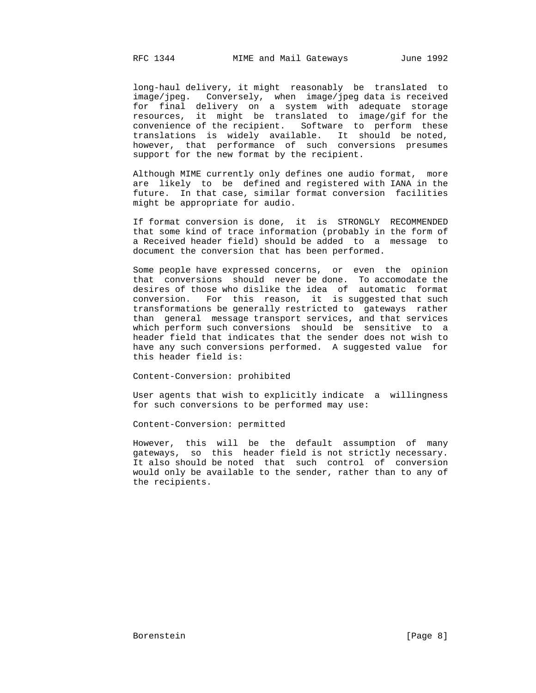long-haul delivery, it might reasonably be translated to image/jpeg. Conversely, when image/jpeg data is received for final delivery on a system with adequate storage resources, it might be translated to image/gif for the convenience of the recipient. Software to perform these translations is widely available. It should be noted, however, that performance of such conversions presumes support for the new format by the recipient.

 Although MIME currently only defines one audio format, more are likely to be defined and registered with IANA in the future. In that case, similar format conversion facilities might be appropriate for audio.

 If format conversion is done, it is STRONGLY RECOMMENDED that some kind of trace information (probably in the form of a Received header field) should be added to a message to document the conversion that has been performed.

 Some people have expressed concerns, or even the opinion that conversions should never be done. To accomodate the desires of those who dislike the idea of automatic format conversion. For this reason, it is suggested that such transformations be generally restricted to gateways rather than general message transport services, and that services which perform such conversions should be sensitive to a header field that indicates that the sender does not wish to have any such conversions performed. A suggested value for this header field is:

Content-Conversion: prohibited

 User agents that wish to explicitly indicate a willingness for such conversions to be performed may use:

Content-Conversion: permitted

 However, this will be the default assumption of many gateways, so this header field is not strictly necessary. It also should be noted that such control of conversion would only be available to the sender, rather than to any of the recipients.